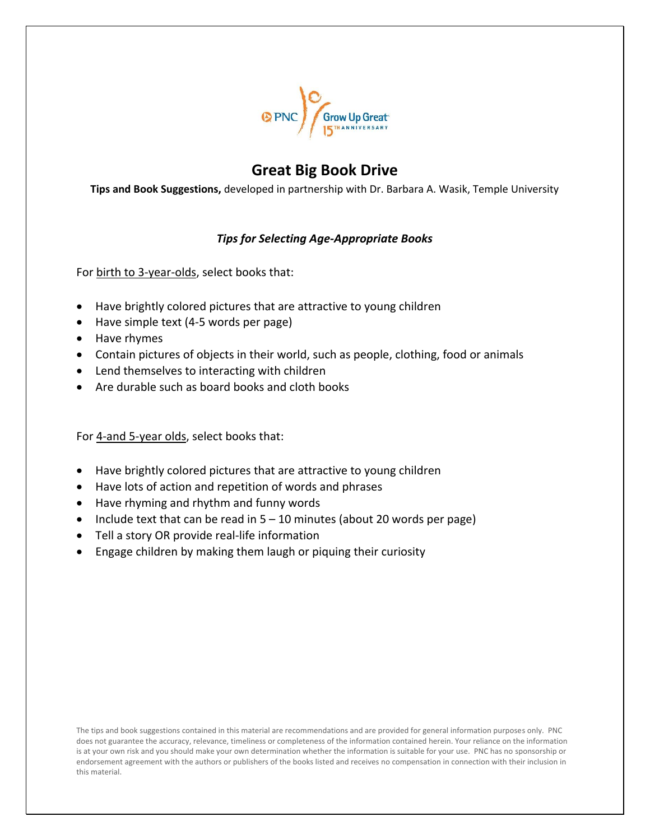

# **Great Big Book Drive**

**Tips and Book Suggestions,** developed in partnership with Dr. Barbara A. Wasik, Temple University

## *Tips for Selecting Age-Appropriate Books*

For birth to 3-year-olds, select books that:

- Have brightly colored pictures that are attractive to young children
- Have simple text (4-5 words per page)
- Have rhymes
- Contain pictures of objects in their world, such as people, clothing, food or animals
- Lend themselves to interacting with children
- Are durable such as board books and cloth books

For 4-and 5-year olds, select books that:

- Have brightly colored pictures that are attractive to young children
- Have lots of action and repetition of words and phrases
- Have rhyming and rhythm and funny words
- Include text that can be read in  $5 10$  minutes (about 20 words per page)
- Tell a story OR provide real-life information
- Engage children by making them laugh or piquing their curiosity

The tips and book suggestions contained in this material are recommendations and are provided for general information purposes only. PNC does not guarantee the accuracy, relevance, timeliness or completeness of the information contained herein. Your reliance on the information is at your own risk and you should make your own determination whether the information is suitable for your use. PNC has no sponsorship or endorsement agreement with the authors or publishers of the books listed and receives no compensation in connection with their inclusion in this material.